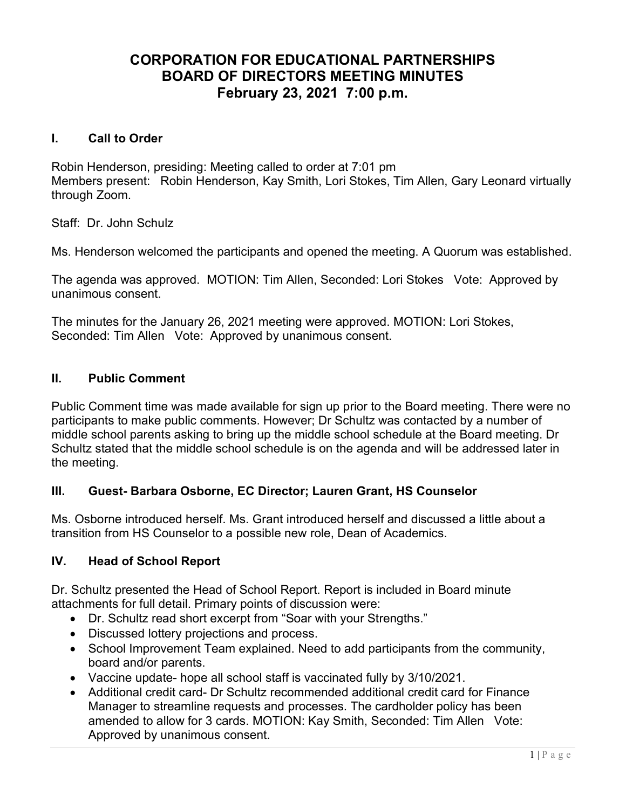# CORPORATION FOR EDUCATIONAL PARTNERSHIPS BOARD OF DIRECTORS MEETING MINUTES February 23, 2021 7:00 p.m.

#### I. Call to Order

Robin Henderson, presiding: Meeting called to order at 7:01 pm Members present: Robin Henderson, Kay Smith, Lori Stokes, Tim Allen, Gary Leonard virtually through Zoom.

Staff: Dr. John Schulz

Ms. Henderson welcomed the participants and opened the meeting. A Quorum was established.

The agenda was approved. MOTION: Tim Allen, Seconded: Lori Stokes Vote: Approved by unanimous consent.

The minutes for the January 26, 2021 meeting were approved. MOTION: Lori Stokes, Seconded: Tim Allen Vote: Approved by unanimous consent.

## II. Public Comment

Public Comment time was made available for sign up prior to the Board meeting. There were no participants to make public comments. However; Dr Schultz was contacted by a number of middle school parents asking to bring up the middle school schedule at the Board meeting. Dr Schultz stated that the middle school schedule is on the agenda and will be addressed later in the meeting.

### III. Guest- Barbara Osborne, EC Director; Lauren Grant, HS Counselor

Ms. Osborne introduced herself. Ms. Grant introduced herself and discussed a little about a transition from HS Counselor to a possible new role, Dean of Academics.

### IV. Head of School Report

Dr. Schultz presented the Head of School Report. Report is included in Board minute attachments for full detail. Primary points of discussion were:

- Dr. Schultz read short excerpt from "Soar with your Strengths."
- Discussed lottery projections and process.
- School Improvement Team explained. Need to add participants from the community, board and/or parents.
- Vaccine update- hope all school staff is vaccinated fully by 3/10/2021.
- Additional credit card- Dr Schultz recommended additional credit card for Finance Manager to streamline requests and processes. The cardholder policy has been amended to allow for 3 cards. MOTION: Kay Smith, Seconded: Tim Allen Vote: Approved by unanimous consent.